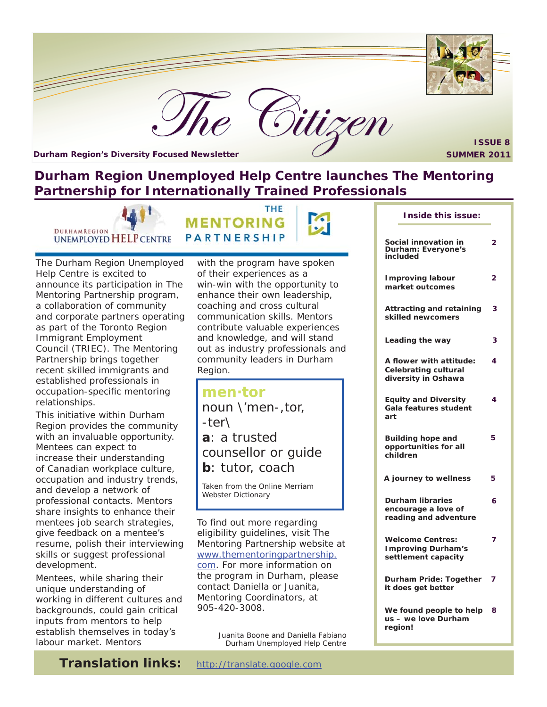

**Durham Region's Diversity Focused Newsletter SUMMER 2011** 

**ISSUE 8**

# **Durham Region Unemployed Help Centre launches The Mentoring Partnership for Internationally Trained Professionals**

THE

**DURHAMREGION** UNEMPLOYED HELP CENTRE

**MENTORING PARTNERSHIP** 

The Durham Region Unemployed Help Centre is excited to announce its participation in The Mentoring Partnership program, a collaboration of community and corporate partners operating as part of the Toronto Region Immigrant Employment Council (TRIEC). The Mentoring Partnership brings together recent skilled immigrants and established professionals in occupation-specific mentoring relationships.

This initiative within Durham Region provides the community with an invaluable opportunity. Mentees can expect to increase their understanding of Canadian workplace culture, occupation and industry trends, and develop a network of professional contacts. Mentors share insights to enhance their mentees job search strategies, give feedback on a mentee's resume, polish their interviewing skills or suggest professional development.

Mentees, while sharing their unique understanding of working in different cultures and backgrounds, could gain critical inputs from mentors to help establish themselves in today's labour market. Mentors

with the program have spoken of their experiences as a win-win with the opportunity to enhance their own leadership, coaching and cross cultural communication skills. Mentors contribute valuable experiences and knowledge, and will stand out as industry professionals and community leaders in Durham Region.

**men·tor** noun \'men-,tor, -ter\ **a**: a trusted counsellor or guide **b**: tutor, coach

Taken from the Online Merriam Webster Dictionary

To find out more regarding eligibility guidelines, visit The Mentoring Partnership website at [www.thementoringpartnership.](www.thementoringpartnership.com) com. For more information on the program in Durham, please contact Daniella or Juanita, Mentoring Coordinators, at 905-420-3008.

> *Juanita Boone and Daniella Fabiano Durham Unemployed Help Centre*

|     | Inside this issue:                                                            |   |
|-----|-------------------------------------------------------------------------------|---|
|     | Social innovation in<br>Durham: Everyone's<br>included                        | 2 |
|     | <b>Improving labour</b><br>market outcomes                                    | 2 |
|     | <b>Attracting and retaining</b><br>skilled newcomers                          | 3 |
|     | Leading the way                                                               | 3 |
|     | A flower with attitude:<br><b>Celebrating cultural</b><br>diversity in Oshawa | 4 |
| art | <b>Equity and Diversity</b><br>Gala features student                          | 4 |
|     | <b>Building hope and</b><br>opportunities for all<br>children                 | 5 |
|     | A journey to wellness                                                         | 5 |
|     | <b>Durham libraries</b><br>encourage a love of<br>reading and adventure       | 6 |
|     | <b>Welcome Centres:</b><br><b>Improving Durham's</b><br>settlement capacity   | 7 |
|     | Durham Pride: Together<br>it does get better                                  | 7 |
|     | We found people to help<br>us - we love Durham<br>region!                     | 8 |

**Translation links:** http://translate.google.com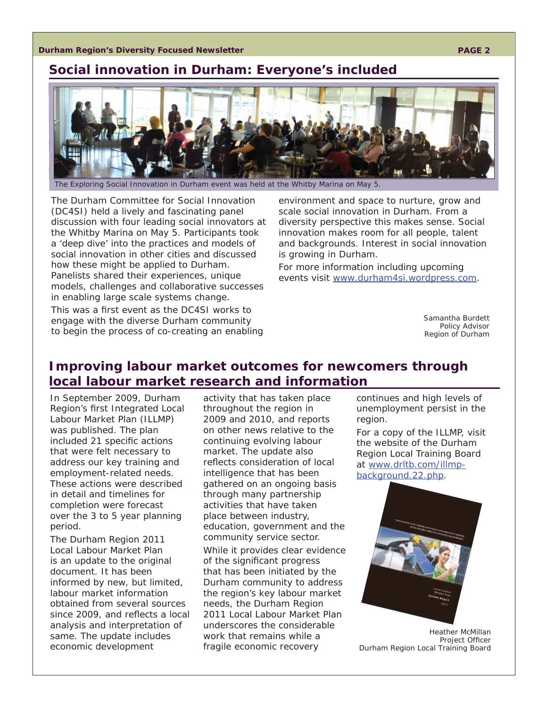#### **Durham Region's Diversity Focused Newsletter**

## **Social innovation in Durham: Everyone's included**



The Exploring Social Innovation in Durham event was held at the Whitby Marina on May 5.

The Durham Committee for Social Innovation (DC4SI) held a lively and fascinating panel discussion with four leading social innovators at the Whitby Marina on May 5. Participants took a 'deep dive' into the practices and models of social innovation in other cities and discussed how these might be applied to Durham. Panelists shared their experiences, unique models, challenges and collaborative successes in enabling large scale systems change.

This was a first event as the DC4SI works to engage with the diverse Durham community to begin the process of co-creating an enabling

environment and space to nurture, grow and scale social innovation in Durham. From a diversity perspective this makes sense. Social innovation makes room for all people, talent and backgrounds. Interest in social innovation is growing in Durham.

For more information including upcoming events visit www.durham4si.wordpress.com.

> *Samantha Burdett Policy Advisor Region of Durham*

# **Improving labour market outcomes for newcomers through local labour market research and information**

In September 2009, Durham Region's first Integrated Local Labour Market Plan (ILLMP) was published. The plan included 21 specific actions that were felt necessary to address our key training and employment-related needs. These actions were described in detail and timelines for completion were forecast over the 3 to 5 year planning period.

The Durham Region 2011 Local Labour Market Plan is an update to the original document. It has been informed by new, but limited, labour market information obtained from several sources since 2009, and reflects a local analysis and interpretation of same. The update includes economic development

activity that has taken place throughout the region in 2009 and 2010, and reports on other news relative to the continuing evolving labour market. The update also reflects consideration of local intelligence that has been gathered on an ongoing basis through many partnership activities that have taken place between industry, education, government and the community service sector.

While it provides clear evidence of the significant progress that has been initiated by the Durham community to address the region's key labour market needs, the Durham Region 2011 Local Labour Market Plan underscores the considerable work that remains while a fragile economic recovery

continues and high levels of unemployment persist in the region.

For a copy of the ILLMP, visit the website of the Durham Region Local Training Board at www.drltb.com/illmpbackground.22.php.



*Heather McMillan Project Offi cer Durham Region Local Training Board*

#### **PAGE 2**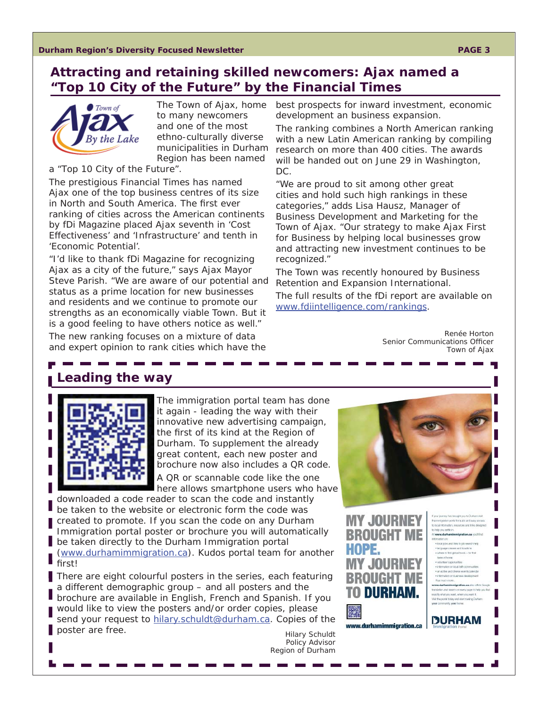# **Attracting and retaining skilled newcomers: Ajax named a "Top 10 City of the Future" by the Financial Times**



*The Town of Ajax, home to many newcomers and one of the most ethno-culturally diverse municipalities in Durham Region has been named* 

#### *a "Top 10 City of the Future".*

The prestigious Financial Times has named Ajax one of the top business centres of its size in North and South America. The first ever ranking of cities across the American continents by fDi Magazine placed Ajax seventh in 'Cost Effectiveness' and 'Infrastructure' and tenth in 'Economic Potential'.

"I'd like to thank fDi Magazine for recognizing Ajax as a city of the future," says Ajax Mayor Steve Parish. "We are aware of our potential and status as a prime location for new businesses and residents and we continue to promote our strengths as an economically viable Town. But it is a good feeling to have others notice as well." The new ranking focuses on a mixture of data and expert opinion to rank cities which have the

best prospects for inward investment, economic development an business expansion.

The ranking combines a North American ranking with a new Latin American ranking by compiling research on more than 400 cities. The awards will be handed out on June 29 in Washington, DC.

"We are proud to sit among other great cities and hold such high rankings in these categories," adds Lisa Hausz, Manager of Business Development and Marketing for the Town of Ajax. "Our strategy to make Ajax First for Business by helping local businesses grow and attracting new investment continues to be recognized."

The Town was recently honoured by Business Retention and Expansion International.

The full results of the fDi report are available on www.fdiintelligence.com/rankings.

> *Renée Horton* **Senior Communications Officer** *Town of Ajax*

> > s brought you to C<br>ortal for quick and

.<br>Iscal jobs and links to job search he

**DURHAM** 

la quapi wheels find gistal bods - tir fiel tels of home

es and boatens

# **Leading the way**



The immigration portal team has done it again - leading the way with their innovative new advertising campaign, the first of its kind at the Region of Durham. To supplement the already great content, each new poster and brochure now also includes a QR code. A QR or scannable code like the one here allows smartphone users who hav[e](www.durhamimmigration.ca) 

downloaded a code reader to scan the code and instantly be taken to the website or electronic form the code was created to promote. If you scan the code on any Durham Immigration portal poster or brochure you will automatically be taken directly to the Durham Immigration portal (www.durhamimmigration.ca). Kudos portal team for another first!

There are eight colourful posters in the series, each featuring a different demographic group – and all posters and the brochure are available in English, French and Spanish. If you would like to view the posters and/or order copies, please send your request to hilary.schuldt@durham.ca. Copies of the poster are free. **And all and a set of the set of the set of the set of the set of the set of the set of the set of the set of the set of the set of the set of the set of the set of the set of the set of the set of the set** 



**MY JOURNEY BROUGHT ME** HOPE. UGHT **DURHA** 

www.durhamimmigration.ca

*Policy Advisor Region of Durham*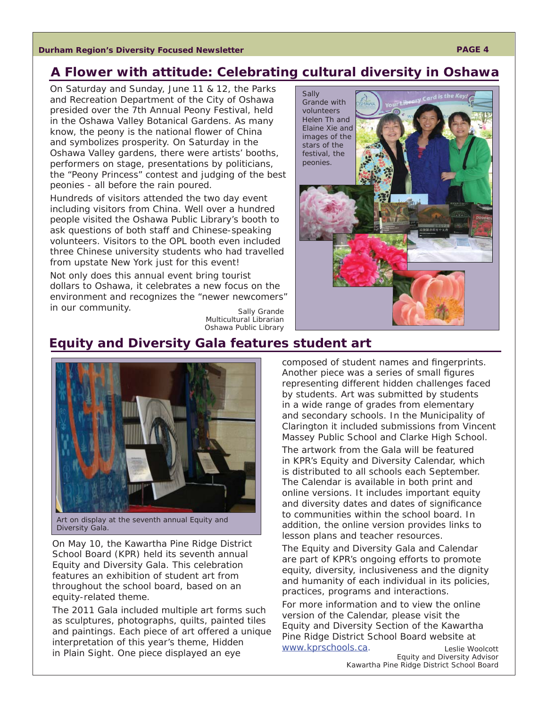**Durham Region's Diversity Focused Newsletter**

# **A Flower with attitude: Celebrating cultural diversity in Oshawa**

On Saturday and Sunday, June 11 & 12, the Parks and Recreation Department of the City of Oshawa presided over the 7th Annual Peony Festival, held in the Oshawa Valley Botanical Gardens. As many know, the peony is the national flower of China and symbolizes prosperity. On Saturday in the Oshawa Valley gardens, there were artists' booths, performers on stage, presentations by politicians, the "Peony Princess" contest and judging of the best peonies - all before the rain poured.

Hundreds of visitors attended the two day event including visitors from China. Well over a hundred people visited the Oshawa Public Library's booth to ask questions of both staff and Chinese-speaking volunteers. Visitors to the OPL booth even included three Chinese university students who had travelled from upstate New York just for this event!

Not only does this annual event bring tourist dollars to Oshawa, it celebrates a new focus on the environment and recognizes the "newer newcomers" in our community.

*Sally Grande Multicultural Librarian Oshawa Public Library*



## **Equity and Diversity Gala features student art**



Art on display at the seventh annual Equity and Diversity Gala.

On May 10, the Kawartha Pine Ridge District School Board (KPR) held its seventh annual Equity and Diversity Gala. This celebration features an exhibition of student art from throughout the school board, based on an equity-related theme.

The 2011 Gala included multiple art forms such as sculptures, photographs, quilts, painted tiles and paintings. Each piece of art offered a unique interpretation of this year's theme, Hidden in Plain Sight. One piece displayed an eye

composed of student names and fingerprints. Another piece was a series of small figures representing different hidden challenges faced by students. Art was submitted by students in a wide range of grades from elementary and secondary schools. In the Municipality of Clarington it included submissions from Vincent Massey Public School and Clarke High School. The artwork from the Gala will be featured in KPR's Equity and Diversity Calendar, which is distributed to all schools each September. The Calendar is available in both print and online versions. It includes important equity and diversity dates and dates of significance to communities within the school board. In addition, the online version provides links to lesson plans and teacher resources.

The Equity and Diversity Gala and Calendar are part of KPR's ongoing efforts to promote equity, diversity, inclusiveness and the dignity and humanity of each individual in its policies, practices, programs and interactions.

For more information and to view the online version of the Calendar, please visit the Equity and Diversity Section of the Kawartha Pine Ridge District School Board website at www.kprschools.ca. *Leslie Woolcott*

*Equity and Diversity Advisor Kawartha Pine Ridge District School Board*

#### **PAGE 4**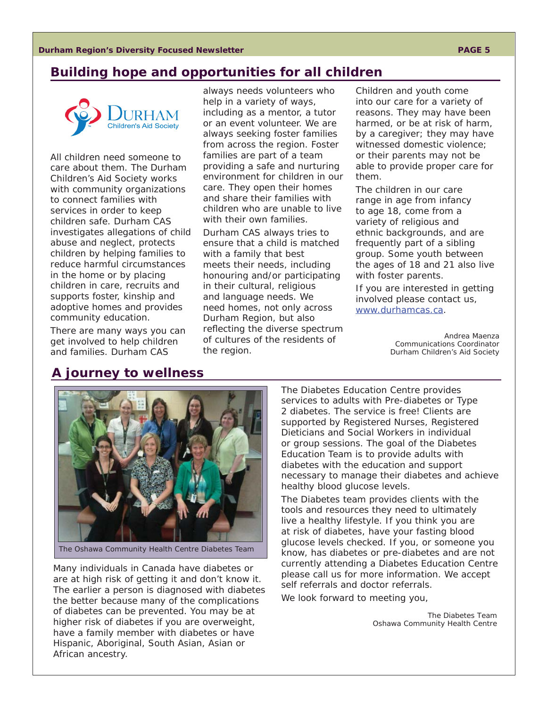## **Building hope and opportunities for all children**



All children need someone to care about them. The Durham Children's Aid Society works with community organizations to connect families with services in order to keep children safe. Durham CAS investigates allegations of child abuse and neglect, protects children by helping families to reduce harmful circumstances in the home or by placing children in care, recruits and supports foster, kinship and adoptive homes and provides community education.

There are many ways you can get involved to help children and families. Durham CAS

always needs volunteers who help in a variety of ways, including as a mentor, a tutor or an event volunteer. We are always seeking foster families from across the region. Foster families are part of a team providing a safe and nurturing environment for children in our care. They open their homes and share their families with children who are unable to live with their own families.

Durham CAS always tries to ensure that a child is matched with a family that best meets their needs, including honouring and/or participating in their cultural, religious and language needs. We need homes, not only across Durham Region, but also reflecting the diverse spectrum of cultures of the residents of the region.

Children and youth come into our care for a variety of reasons. They may have been harmed, or be at risk of harm, by a caregiver; they may have witnessed domestic violence; or their parents may not be able to provide proper care for them.

The children in our care range in age from infancy to age 18, come from a variety of religious and ethnic backgrounds, and are frequently part of a sibling group. Some youth between the ages of 18 and 21 also live with foster parents.

If you are interested in getting involved please contact us, www.durhamcas.ca.

> *Andrea Maenza Communications Coordinator Durham Children's Aid Society*

## **A journey to wellness**



The Oshawa Community Health Centre Diabetes Team

Many individuals in Canada have diabetes or are at high risk of getting it and don't know it. The earlier a person is diagnosed with diabetes the better because many of the complications of diabetes can be prevented. You may be at higher risk of diabetes if you are overweight, have a family member with diabetes or have Hispanic, Aboriginal, South Asian, Asian or African ancestry.

The Diabetes Education Centre provides services to adults with Pre-diabetes or Type 2 diabetes. The service is free! Clients are supported by Registered Nurses, Registered Dieticians and Social Workers in individual or group sessions. The goal of the Diabetes Education Team is to provide adults with diabetes with the education and support necessary to manage their diabetes and achieve healthy blood glucose levels.

The Diabetes team provides clients with the tools and resources they need to ultimately live a healthy lifestyle. If you think you are at risk of diabetes, have your fasting blood glucose levels checked. If you, or someone you know, has diabetes or pre-diabetes and are not currently attending a Diabetes Education Centre please call us for more information. We accept self referrals and doctor referrals.

We look forward to meeting you,

*The Diabetes Team Oshawa Community Health Centre*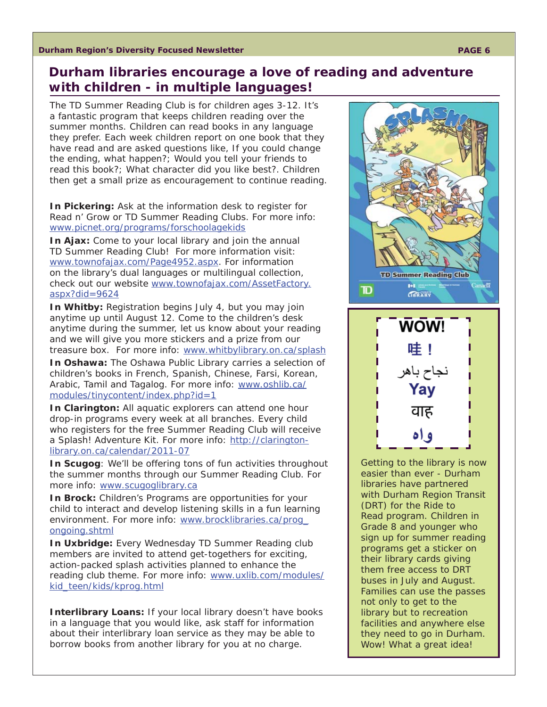# **Durham libraries encourage a love of reading and adventure with children - in multiple languages!**

The TD Summer Reading Club is for children ages 3-12. It's a fantastic program that keeps children reading over the summer months. Children can read books in any language they prefer. Each week children report on one book that they have read and are asked questions like, If you could change the ending, what happen?; Would you tell your friends to read this book?; What character did you like best?. Children then get a small prize as encouragement to continue reading.

**In Pickering:** Ask at the information desk to register for Read n' Grow or TD Summer Reading Clubs. For more info: www.picnet.org/programs/forschoolagekids

**In Ajax:** Come to your local library and join the annual TD Summer Reading Club! For more information visit: www.townofajax.com/Page4952.aspx. For information on the library's dual languages or multilingual collection, [check out our website www.townofajax.com/AssetFactory.](www.townofajax.com/AssetFactory.aspx?did=9624) aspx?did=9624

**In Whitby:** Registration begins July 4, but you may join anytime up until August 12. Come to the children's desk anytime during the summer, let us know about your reading and we will give you more stickers and a prize from our treasure box. For more info: www.whitbylibrary.on.ca/splash

**In Oshawa:** The Oshawa Public Library carries a selection of children's books in French, Spanish, Chinese, Farsi, Korean, [Arabic, Tamil and Tagalog. For more info: www.oshlib.ca/](www.oshlib.ca/modules/tinycontent/index.php?id=1) modules/tinycontent/index.php?id=1

**In Clarington:** All aquatic explorers can attend one hour drop-in programs every week at all branches. Every child who registers for the free Summer Reading Club will receive a Splash! Adventure Kit. For more info: http://claringtonlibrary.on.ca/calendar/2011-07

**In Scugog**: We'll be offering tons of fun activities throughout the summer months through our Summer Reading Club. For more info: www.scugoglibrary.ca

**In Brock:** Children's Programs are opportunities for your child to interact and develop listening skills in a fun learning [environment. For more info: www.brocklibraries.ca/prog\\_](www.brocklibraries.ca/prog_ongoing.shtml) ongoing.shtml

**In Uxbridge:** Every Wednesday TD Summer Reading club members are invited to attend get-togethers for exciting, action-packed splash activities planned to enhance the [reading club theme. For more info: www.uxlib.com/modules/](www.uxlib.com/modules/kid_teen/kids/kprog.html) kid\_teen/kids/kprog.html

**Interlibrary Loans:** If your local library doesn't have books in a language that you would like, ask staff for information about their interlibrary loan service as they may be able to borrow books from another library for you at no charge.



Getting to the library is now easier than ever - Durham libraries have partnered with Durham Region Transit (DRT) for the Ride to Read program. Children in Grade 8 and younger who sign up for summer reading programs get a sticker on their library cards giving them free access to DRT buses in July and August. Families can use the passes not only to get to the library but to recreation facilities and anywhere else they need to go in Durham. Wow! What a great idea!

वाह

و اه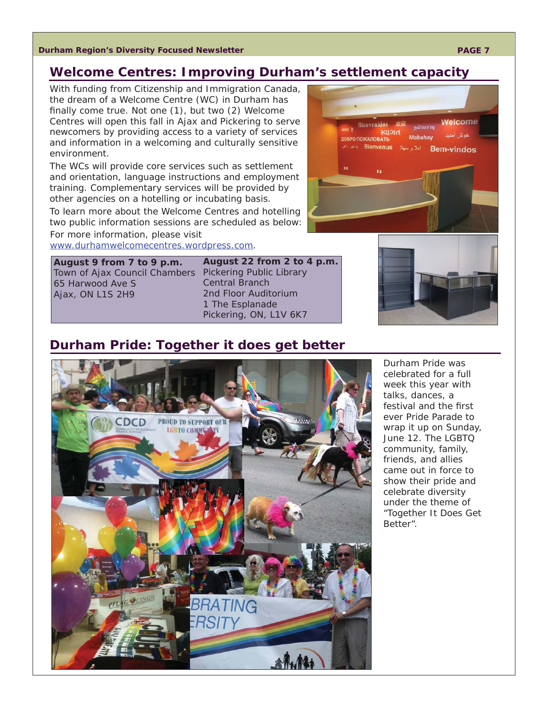#### **Durham Region's Diversity Focused Newsletter**

## **Welcome Centres: Improving Durham's settlement capacity**

With funding from Citizenship and Immigration Canada, the dream of a Welcome Centre (WC) in Durham has finally come true. Not one  $(1)$ , but two  $(2)$  Welcome Centres will open this fall in Ajax and Pickering to serve newcomers by providing access to a variety of services and information in a welcoming and culturally sensitive environment.

The WCs will provide core services such as settlement and orientation, language instructions and employment training. Complementary services will be provided by other agencies on a hotelling or incubating basis.

To learn more about the Welcome Centres and hotelling two public information sessions are scheduled as below: For more information, please visit

www.durhamwelcomecentres.wordpress.com.

**August 9 from 7 to 9 p.m.** Town of Ajax Council Chambers Pickering Public Library 65 Harwood Ave S Ajax, ON L1S 2H9

**August 22 from 2 to 4 p.m.** Central Branch 2nd Floor Auditorium 1 The Esplanade Pickering, ON, L1V 6K7

## **Durham Pride: Together it does get better**



Durham Pride was celebrated for a full week this year with talks, dances, a festival and the first ever Pride Parade to wrap it up on Sunday, June 12. The LGBTQ community, family, friends, and allies came out in force to show their pride and celebrate diversity under the theme of "Together It Does Get Better".



#### **PAGE 7**